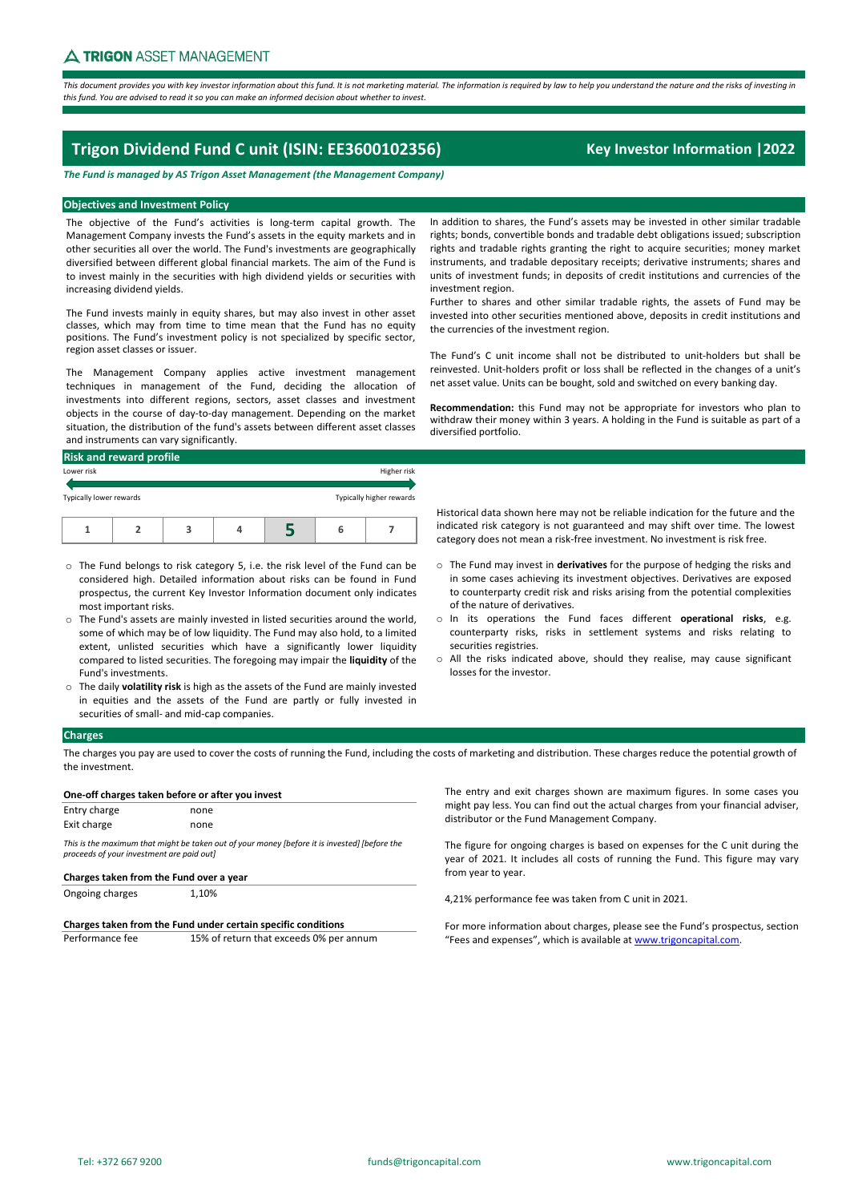This document provides you with key investor information about this fund. It is not marketing material. The information is required by law to help you understand the nature and the risks of investing in this fund. You are advised to read it so you can make an informed decision about whether to invest.

# **Trigon Dividend Fund C unit (ISIN: EE3600102356) Key Investor Information |2022**

*The Fund is managed by AS Trigon Asset Management (the Management Company)*

## **Objectives and Investment Policy**

The objective of the Fund's activities is long-term capital growth. The Management Company invests the Fund's assets in the equity markets and in other securities all over the world. The Fund's investments are geographically diversified between different global financial markets. The aim of the Fund is to invest mainly in the securities with high dividend yields or securities with increasing dividend yields.

The Fund invests mainly in equity shares, but may also invest in other asset classes, which may from time to time mean that the Fund has no equity positions. The Fund's investment policy is not specialized by specific sector, region asset classes or issuer.

The Management Company applies active investment management techniques in management of the Fund, deciding the allocation of investments into different regions, sectors, asset classes and investment objects in the course of day‐to‐day management. Depending on the market situation, the distribution of the fund's assets between different asset classes and instruments can vary significantly.

| <b>Risk and reward profile</b> |  |  |  |  |   |                          |
|--------------------------------|--|--|--|--|---|--------------------------|
| Lower risk                     |  |  |  |  |   | Higher risk              |
| Typically lower rewards        |  |  |  |  |   | Typically higher rewards |
|                                |  |  |  |  | 6 |                          |

- o The Fund belongs to risk category 5, i.e. the risk level of the Fund can be considered high. Detailed information about risks can be found in Fund prospectus, the current Key Investor Information document only indicates most important risks.
- o The Fund's assets are mainly invested in listed securities around the world, some of which may be of low liquidity. The Fund may also hold, to a limited extent, unlisted securities which have a significantly lower liquidity compared to listed securities. The foregoing may impair the **liquidity** of the Fund's investments.
- o The daily **volatility risk** is high as the assets of the Fund are mainly invested in equities and the assets of the Fund are partly or fully invested in securities of small‐ and mid‐cap companies.

In addition to shares, the Fund's assets may be invested in other similar tradable rights; bonds, convertible bonds and tradable debt obligations issued; subscription rights and tradable rights granting the right to acquire securities; money market instruments, and tradable depositary receipts; derivative instruments; shares and units of investment funds; in deposits of credit institutions and currencies of the investment region.

Further to shares and other similar tradable rights, the assets of Fund may be invested into other securities mentioned above, deposits in credit institutions and the currencies of the investment region.

The Fund's C unit income shall not be distributed to unit‐holders but shall be reinvested. Unit‐holders profit or loss shall be reflected in the changes of a unit's net asset value. Units can be bought, sold and switched on every banking day.

**Recommendation:** this Fund may not be appropriate for investors who plan to withdraw their money within 3 years. A holding in the Fund is suitable as part of a diversified portfolio.

Historical data shown here may not be reliable indication for the future and the indicated risk category is not guaranteed and may shift over time. The lowest category does not mean a risk‐free investment. No investment is risk free.

- o The Fund may invest in **derivatives** for the purpose of hedging the risks and in some cases achieving its investment objectives. Derivatives are exposed to counterparty credit risk and risks arising from the potential complexities of the nature of derivatives.
- o In its operations the Fund faces different **operational risks**, e.g. counterparty risks, risks in settlement systems and risks relating to securities registries.
- o All the risks indicated above, should they realise, may cause significant losses for the investor.

## **Charges**

The charges you pay are used to cover the costs of running the Fund, including the costs of marketing and distribution. These charges reduce the potential growth of the investment.

#### **One‐off charges taken before or after you invest**

| Entry charge                                                                                                                               | none |  |
|--------------------------------------------------------------------------------------------------------------------------------------------|------|--|
| Exit charge                                                                                                                                | none |  |
| This is the maximum that might be taken out of your money [before it is invested] [before the<br>proceeds of your investment are paid out] |      |  |

#### **Charges taken from the Fund over a year**

Ongoing charges

| Charges taken from the Fund under certain specific conditions |                                         |  |  |  |
|---------------------------------------------------------------|-----------------------------------------|--|--|--|
| Performance fee                                               | 15% of return that exceeds 0% per annum |  |  |  |

1,10%

The entry and exit charges shown are maximum figures. In some cases you might pay less. You can find out the actual charges from your financial adviser, distributor or the Fund Management Company.

The figure for ongoing charges is based on expenses for the C unit during the year of 2021. It includes all costs of running the Fund. This figure may vary from year to year.

4,21% performance fee was taken from C unit in 2021.

For more information about charges, please see the Fund's prospectus, section "Fees and expenses", which is available at www.trigoncapital.com.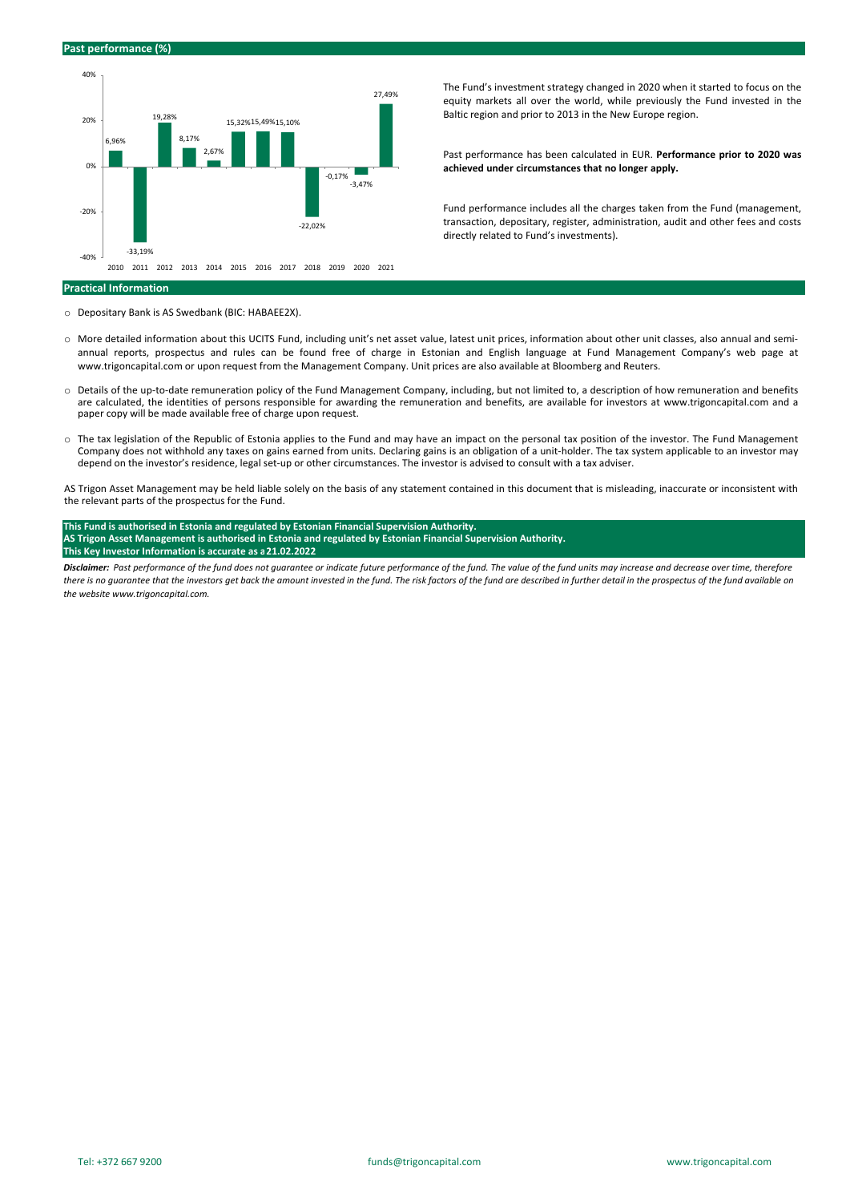

The Fund's investment strategy changed in 2020 when it started to focus on the equity markets all over the world, while previously the Fund invested in the Baltic region and prior to 2013 in the New Europe region.

Past performance has been calculated in EUR. **Performance prior to 2020 was achieved under circumstances that no longer apply.**

Fund performance includes all the charges taken from the Fund (management, transaction, depositary, register, administration, audit and other fees and costs directly related to Fund's investments).

#### **Practical Information**

o Depositary Bank is AS Swedbank (BIC: HABAEE2X).

- More detailed information about this UCITS Fund, including unit's net asset value, latest unit prices, information about other unit classes, also annual and semiannual reports, prospectus and rules can be found free of charge in Estonian and English language at Fund Management Company's web page at www.trigoncapital.com or upon request from the Management Company. Unit prices are also available at Bloomberg and Reuters.
- o Details of the up‐to‐date remuneration policy of the Fund Management Company, including, but not limited to, a description of how remuneration and benefits are calculated, the identities of persons responsible for awarding the remuneration and benefits, are available for investors at www.trigoncapital.com and a paper copy will be made available free of charge upon request.
- o The tax legislation of the Republic of Estonia applies to the Fund and may have an impact on the personal tax position of the investor. The Fund Management Company does not withhold any taxes on gains earned from units. Declaring gains is an obligation of a unit‐holder. The tax system applicable to an investor may depend on the investor's residence, legal set‐up or other circumstances. The investor is advised to consult with a tax adviser.

AS Trigon Asset Management may be held liable solely on the basis of any statement contained in this document that is misleading, inaccurate or inconsistent with the relevant parts of the prospectus for the Fund.

#### **This Fund is authorised in Estonia and regulated by Estonian Financial Supervision Authority.**  AS Trigon Asset Management is authorised in Estonia and regulated by Estonian Financial Supervision Authority. **This Key Investor Information is accurate as a 21.02.2022**

Disclaimer: Past performance of the fund does not guarantee or indicate future performance of the fund. The value of the fund units may increase and decrease over time, therefore there is no guarantee that the investors get back the amount invested in the fund. The risk factors of the fund are described in further detail in the prospectus of the fund available on *the website www.trigoncapital.com.*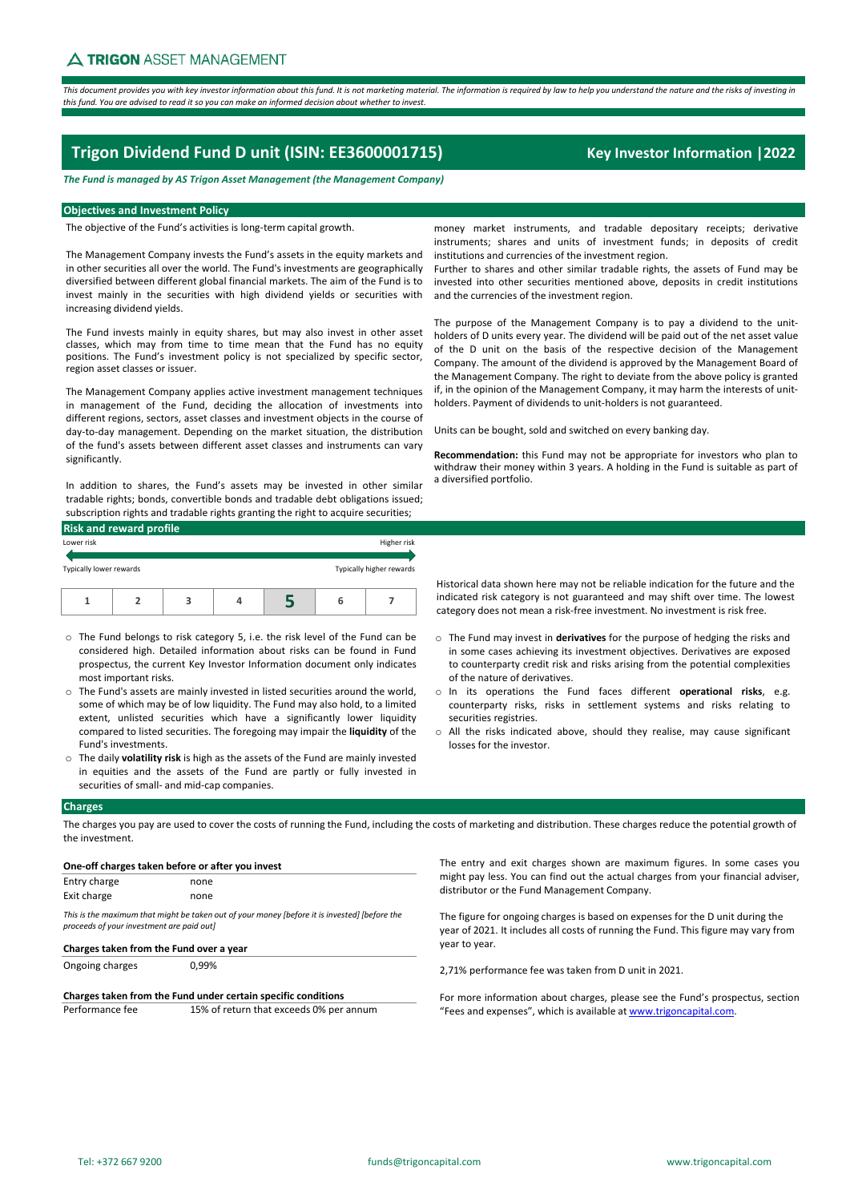This document provides you with key investor information about this fund. It is not marketina material. The information is required by law to help you understand the nature and the risks of investina in this fund. You are advised to read it so you can make an informed decision about whether to invest.

# **Trigon Dividend Fund D unit (ISIN: EE3600001715) Key Investor Information |2022**

# *The Fund is managed by AS Trigon Asset Management (the Management Company)*

## **Objectives and Investment Policy**

The objective of the Fund's activities is long‐term capital growth.

The Management Company invests the Fund's assets in the equity markets and in other securities all over the world. The Fund's investments are geographically diversified between different global financial markets. The aim of the Fund is to invest mainly in the securities with high dividend yields or securities with increasing dividend yields.

The Fund invests mainly in equity shares, but may also invest in other asset classes, which may from time to time mean that the Fund has no equity positions. The Fund's investment policy is not specialized by specific sector, region asset classes or issuer.

The Management Company applies active investment management techniques in management of the Fund, deciding the allocation of investments into different regions, sectors, asset classes and investment objects in the course of day‐to‐day management. Depending on the market situation, the distribution of the fund's assets between different asset classes and instruments can vary significantly.

In addition to shares, the Fund's assets may be invested in other similar tradable rights; bonds, convertible bonds and tradable debt obligations issued; subscription rights and tradable rights granting the right to acquire securities;

| <b>Risk and reward profile</b> |  |   |  |  |   |                          |  |
|--------------------------------|--|---|--|--|---|--------------------------|--|
| Lower risk                     |  |   |  |  |   | Higher risk              |  |
| Typically lower rewards        |  |   |  |  |   | Typically higher rewards |  |
|                                |  | 3 |  |  | 6 |                          |  |

- o The Fund belongs to risk category 5, i.e. the risk level of the Fund can be considered high. Detailed information about risks can be found in Fund prospectus, the current Key Investor Information document only indicates most important risks.
- o The Fund's assets are mainly invested in listed securities around the world, some of which may be of low liquidity. The Fund may also hold, to a limited extent, unlisted securities which have a significantly lower liquidity compared to listed securities. The foregoing may impair the **liquidity** of the Fund's investments.
- o The daily **volatility risk** is high as the assets of the Fund are mainly invested in equities and the assets of the Fund are partly or fully invested in securities of small‐ and mid‐cap companies.

money market instruments, and tradable depositary receipts; derivative instruments; shares and units of investment funds; in deposits of credit institutions and currencies of the investment region.

Further to shares and other similar tradable rights, the assets of Fund may be invested into other securities mentioned above, deposits in credit institutions and the currencies of the investment region.

The purpose of the Management Company is to pay a dividend to the unitholders of D units every year. The dividend will be paid out of the net asset value of the D unit on the basis of the respective decision of the Management Company. The amount of the dividend is approved by the Management Board of the Management Company. The right to deviate from the above policy is granted if, in the opinion of the Management Company, it may harm the interests of unit‐ holders. Payment of dividends to unit-holders is not guaranteed.

Units can be bought, sold and switched on every banking day.

**Recommendation:** this Fund may not be appropriate for investors who plan to withdraw their money within 3 years. A holding in the Fund is suitable as part of a diversified portfolio.

Historical data shown here may not be reliable indication for the future and the indicated risk category is not guaranteed and may shift over time. The lowest category does not mean a risk‐free investment. No investment is risk free.

- o The Fund may invest in **derivatives** for the purpose of hedging the risks and in some cases achieving its investment objectives. Derivatives are exposed to counterparty credit risk and risks arising from the potential complexities of the nature of derivatives.
- o In its operations the Fund faces different **operational risks**, e.g. counterparty risks, risks in settlement systems and risks relating to securities registries.
- o All the risks indicated above, should they realise, may cause significant losses for the investor.

## **Charges**

The charges you pay are used to cover the costs of running the Fund, including the costs of marketing and distribution. These charges reduce the potential growth of the investment.

| One-off charges taken before or after you invest                                                                                                                                      |                                         |  |  |  |
|---------------------------------------------------------------------------------------------------------------------------------------------------------------------------------------|-----------------------------------------|--|--|--|
| Entry charge                                                                                                                                                                          | none                                    |  |  |  |
| Exit charge                                                                                                                                                                           | none                                    |  |  |  |
| This is the maximum that might be taken out of your money (before it is invested) (before the<br>proceeds of your investment are paid out]<br>Charges taken from the Fund over a year |                                         |  |  |  |
| Ongoing charges                                                                                                                                                                       | 0.99%                                   |  |  |  |
| Charges taken from the Fund under certain specific conditions                                                                                                                         |                                         |  |  |  |
| Performance fee                                                                                                                                                                       | 15% of return that exceeds 0% per annum |  |  |  |

The entry and exit charges shown are maximum figures. In some cases you might pay less. You can find out the actual charges from your financial adviser, distributor or the Fund Management Company.

The figure for ongoing charges is based on expenses for the D unit during the year of 2021. It includes all costs of running the Fund. This figure may vary from year to year.

2,71% performance fee was taken from D unit in 2021.

For more information about charges, please see the Fund's prospectus, section "Fees and expenses", which is available at www.trigoncapital.com.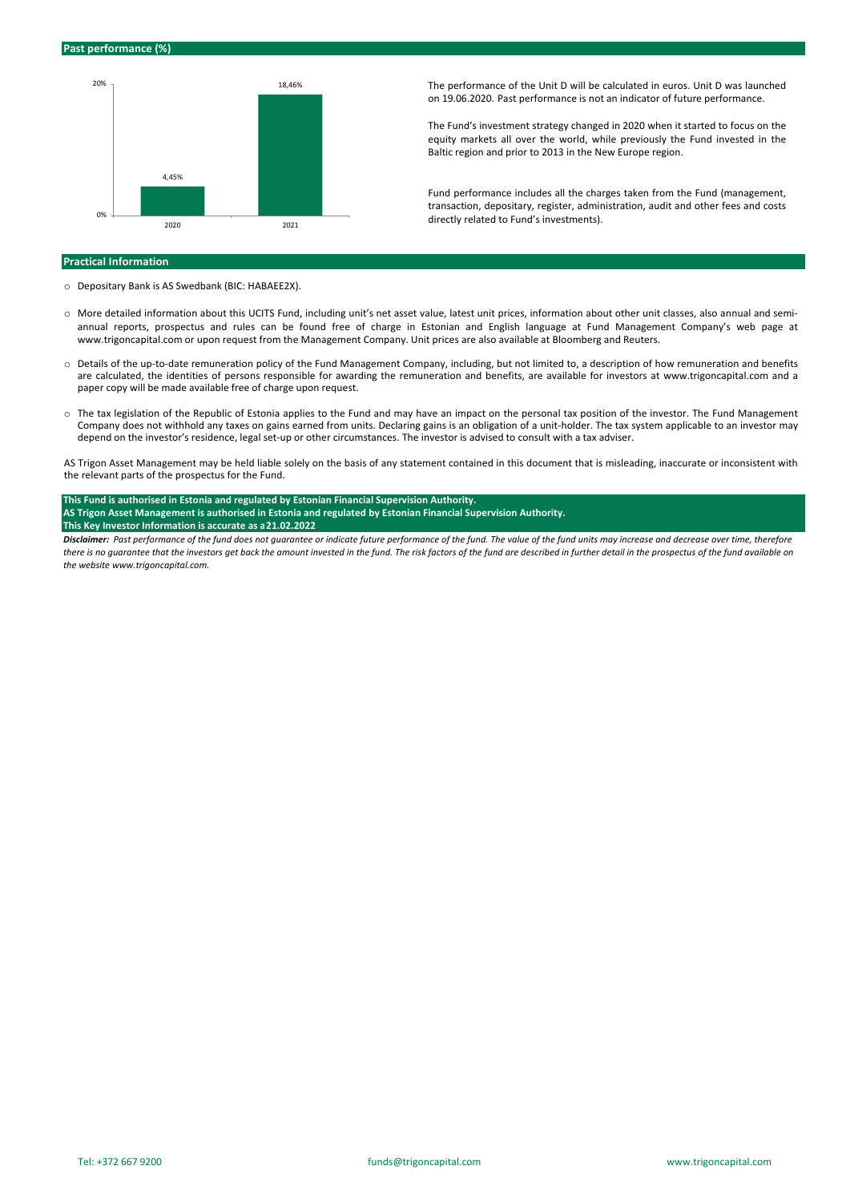

The performance of the Unit D will be calculated in euros. Unit D was launched on 19.06.2020. Past performance is not an indicator of future performance.

The Fund's investment strategy changed in 2020 when it started to focus on the equity markets all over the world, while previously the Fund invested in the Baltic region and prior to 2013 in the New Europe region.

Fund performance includes all the charges taken from the Fund (management, transaction, depositary, register, administration, audit and other fees and costs directly related to Fund's investments).

#### **Practical Information**

- o Depositary Bank is AS Swedbank (BIC: HABAEE2X).
- More detailed information about this UCITS Fund, including unit's net asset value, latest unit prices, information about other unit classes, also annual and semiannual reports, prospectus and rules can be found free of charge in Estonian and English language at Fund Management Company's web page at www.trigoncapital.com or upon request from the Management Company. Unit prices are also available at Bloomberg and Reuters.
- o Details of the up‐to‐date remuneration policy of the Fund Management Company, including, but not limited to, a description of how remuneration and benefits are calculated, the identities of persons responsible for awarding the remuneration and benefits, are available for investors at www.trigoncapital.com and a paper copy will be made available free of charge upon request.
- o The tax legislation of the Republic of Estonia applies to the Fund and may have an impact on the personal tax position of the investor. The Fund Management Company does not withhold any taxes on gains earned from units. Declaring gains is an obligation of a unit‐holder. The tax system applicable to an investor may depend on the investor's residence, legal set‐up or other circumstances. The investor is advised to consult with a tax adviser.

AS Trigon Asset Management may be held liable solely on the basis of any statement contained in this document that is misleading, inaccurate or inconsistent with the relevant parts of the prospectus for the Fund.

# **This Fund is authorised in Estonia and regulated by Estonian Financial Supervision Authority.**  AS Trigon Asset Management is authorised in Estonia and regulated by Estonian Financial Supervision Authority.

#### **This Key Investor Information is accurate as a 21.02.2022**

Disclaimer: Past performance of the fund does not guarantee or indicate future performance of the fund. The value of the fund units may increase and decrease over time, therefore there is no guarantee that the investors get back the amount invested in the fund. The risk factors of the fund are described in further detail in the prospectus of the fund available on *the website www.trigoncapital.com.*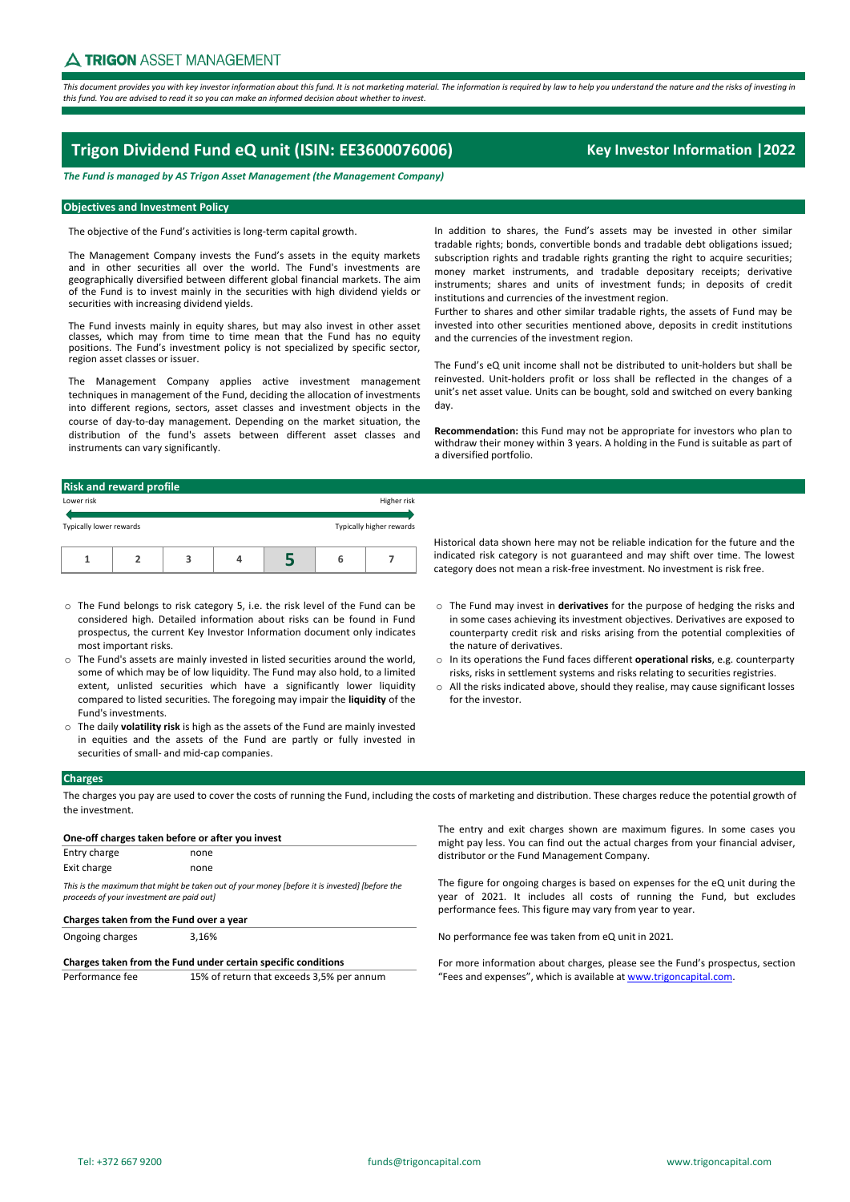This document provides you with key investor information about this fund. It is not marketing material. The information is required by law to help you understand the nature and the risks of investing in this fund. You are advised to read it so you can make an informed decision about whether to invest.

# **Trigon Dividend Fund eQ unit (ISIN: EE3600076006) Key Investor Information |2022**

*The Fund is managed by AS Trigon Asset Management (the Management Company)*

# **Objectives and Investment Policy**

The objective of the Fund's activities is long-term capital growth.

The Management Company invests the Fund's assets in the equity markets and in other securities all over the world. The Fund's investments are geographically diversified between different global financial markets. The aim of the Fund is to invest mainly in the securities with high dividend yields or securities with increasing dividend yields.

The Fund invests mainly in equity shares, but may also invest in other asset classes, which may from time to time mean that the Fund has no equity positions. The Fund's investment policy is not specialized by specific sector, region asset classes or issuer.

The Management Company applies active investment management techniques in management of the Fund, deciding the allocation of investments into different regions, sectors, asset classes and investment objects in the course of day‐to‐day management. Depending on the market situation, the distribution of the fund's assets between different asset classes and instruments can vary significantly.

In addition to shares, the Fund's assets may be invested in other similar tradable rights; bonds, convertible bonds and tradable debt obligations issued; subscription rights and tradable rights granting the right to acquire securities: money market instruments, and tradable depositary receipts; derivative instruments; shares and units of investment funds; in deposits of credit institutions and currencies of the investment region.

Further to shares and other similar tradable rights, the assets of Fund may be invested into other securities mentioned above, deposits in credit institutions and the currencies of the investment region.

The Fund's eQ unit income shall not be distributed to unit‐holders but shall be reinvested. Unit‐holders profit or loss shall be reflected in the changes of a unit's net asset value. Units can be bought, sold and switched on every banking day.

**Recommendation:** this Fund may not be appropriate for investors who plan to withdraw their money within 3 years. A holding in the Fund is suitable as part of a diversified portfolio.

#### **Risk and reward profile**

| Lower risk              |  |  |  |  |   | Higher risk              |  |
|-------------------------|--|--|--|--|---|--------------------------|--|
| Typically lower rewards |  |  |  |  |   | Typically higher rewards |  |
|                         |  |  |  |  | b |                          |  |

- o The Fund belongs to risk category 5, i.e. the risk level of the Fund can be considered high. Detailed information about risks can be found in Fund prospectus, the current Key Investor Information document only indicates most important risks.
- o The Fund's assets are mainly invested in listed securities around the world, some of which may be of low liquidity. The Fund may also hold, to a limited extent, unlisted securities which have a significantly lower liquidity compared to listed securities. The foregoing may impair the **liquidity** of the Fund's investments.
- o The daily **volatility risk** is high as the assets of the Fund are mainly invested in equities and the assets of the Fund are partly or fully invested in securities of small‐ and mid‐cap companies.

Historical data shown here may not be reliable indication for the future and the indicated risk category is not guaranteed and may shift over time. The lowest category does not mean a risk‐free investment. No investment is risk free.

- o The Fund may invest in **derivatives** for the purpose of hedging the risks and in some cases achieving its investment objectives. Derivatives are exposed to counterparty credit risk and risks arising from the potential complexities of the nature of derivatives.
- o In its operations the Fund faces different **operational risks**, e.g. counterparty risks, risks in settlement systems and risks relating to securities registries.
- $\circ$  All the risks indicated above, should they realise, may cause significant losses for the investor.

## **Charges**

The charges you pay are used to cover the costs of running the Fund, including the costs of marketing and distribution. These charges reduce the potential growth of the investment.

| One-off charges taken before or after you invest                                                                                           |      |  |  |
|--------------------------------------------------------------------------------------------------------------------------------------------|------|--|--|
| Entry charge                                                                                                                               | none |  |  |
| Exit charge                                                                                                                                | none |  |  |
| This is the maximum that might be taken out of your money (before it is invested) (before the<br>proceeds of your investment are paid out] |      |  |  |

| Charges taken from the Fund over a year |       |  |  |
|-----------------------------------------|-------|--|--|
| Ongoing charges                         | 3,16% |  |  |

**Charges taken from the Fund under certain specific conditions** Performance fee 15% of return that exceeds 3,5% per annum

The entry and exit charges shown are maximum figures. In some cases you might pay less. You can find out the actual charges from your financial adviser, distributor or the Fund Management Company.

The figure for ongoing charges is based on expenses for the eQ unit during the year of 2021. It includes all costs of running the Fund, but excludes performance fees. This figure may vary from year to year.

No performance fee was taken from eQ unit in 2021.

For more information about charges, please see the Fund's prospectus, section "Fees and expenses", which is available at www.trigoncapital.com.